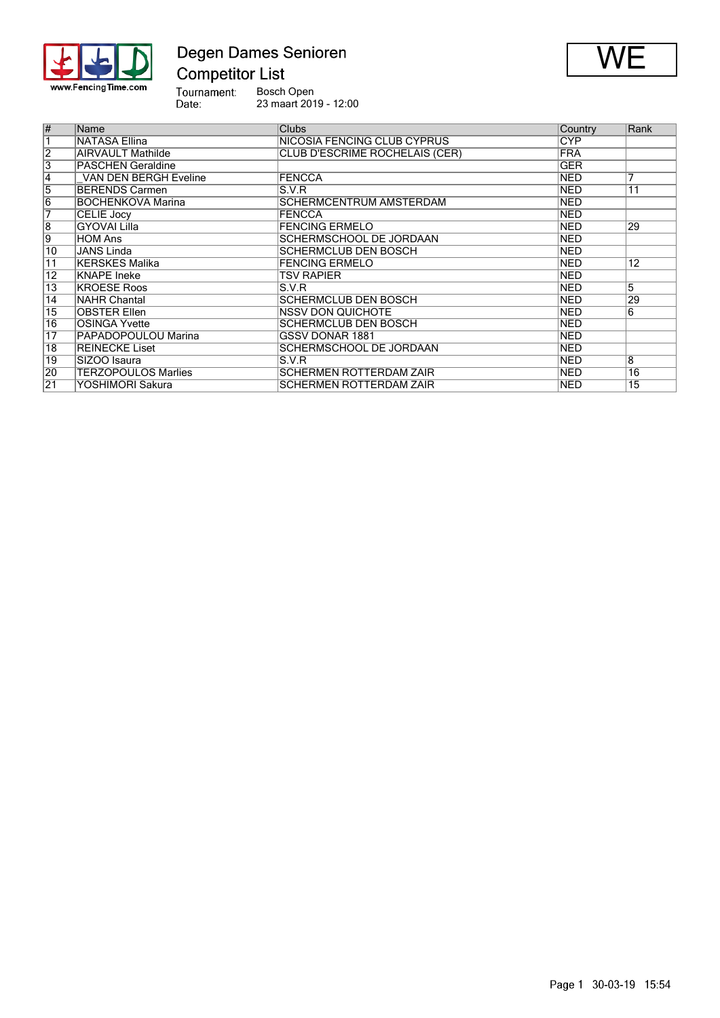

# Degen Dames Senioren



Bosch Open 23 maart 2019 - 12:00

| $\overline{\#}$         | Name                         | <b>Clubs</b>                   | Country    | Rank            |
|-------------------------|------------------------------|--------------------------------|------------|-----------------|
| $\overline{\mathbf{1}}$ | NATASA Ellina                | NICOSIA FENCING CLUB CYPRUS    | <b>CYP</b> |                 |
| $\overline{2}$          | <b>AIRVAULT Mathilde</b>     | CLUB D'ESCRIME ROCHELAIS (CER) | <b>FRA</b> |                 |
| $\overline{3}$          | <b>PASCHEN Geraldine</b>     |                                | <b>GER</b> |                 |
| $\overline{4}$          | <b>VAN DEN BERGH Eveline</b> | <b>FENCCA</b>                  | <b>NED</b> | 7               |
| $\overline{5}$          | <b>BERENDS Carmen</b>        | S.V.R                          | <b>NED</b> | $\overline{11}$ |
| $\overline{6}$          | <b>BOCHENKOVA Marina</b>     | <b>SCHERMCENTRUM AMSTERDAM</b> | <b>NED</b> |                 |
| 7                       | CELIE Jocy                   | <b>FENCCA</b>                  | <b>NED</b> |                 |
| $\overline{8}$          | GYOVAI Lilla                 | <b>FENCING ERMELO</b>          | <b>NED</b> | 29              |
| 9                       | <b>HOM Ans</b>               | <b>SCHERMSCHOOL DE JORDAAN</b> | <b>NED</b> |                 |
| $\overline{10}$         | JANS Linda                   | <b>SCHERMCLUB DEN BOSCH</b>    | <b>NED</b> |                 |
| $\overline{11}$         | KERSKES Malika               | <b>FENCING ERMELO</b>          | <b>NED</b> | $\overline{12}$ |
| $\overline{12}$         | KNAPE Ineke                  | TSV RAPIER                     | <b>NED</b> |                 |
| $\overline{13}$         | <b>KROESE Roos</b>           | S.V.R                          | <b>NED</b> | 5               |
| $\overline{14}$         | <b>NAHR Chantal</b>          | <b>SCHERMCLUB DEN BOSCH</b>    | <b>NED</b> | 29              |
| $\overline{15}$         | <b>OBSTER Ellen</b>          | <b>INSSV DON QUICHOTE</b>      | <b>NED</b> | 6               |
| $\overline{16}$         | <b>OSINGA Yvette</b>         | <b>SCHERMCLUB DEN BOSCH</b>    | <b>NED</b> |                 |
| $\overline{17}$         | PAPADOPOULOU Marina          | <b>GSSV DONAR 1881</b>         | <b>NED</b> |                 |
| $\overline{18}$         | <b>REINECKE Liset</b>        | <b>SCHERMSCHOOL DE JORDAAN</b> | <b>NED</b> |                 |
| 19                      | SIZOO Isaura                 | S.V.R                          | <b>NED</b> | $\overline{8}$  |
| $ 20\rangle$            | <b>TERZOPOULOS Marlies</b>   | <b>SCHERMEN ROTTERDAM ZAÏR</b> | <b>NED</b> | $\overline{16}$ |
| $\overline{21}$         | YOSHIMORI Sakura             | <b>SCHERMEN ROTTERDAM ZAÏR</b> | NED        | 15              |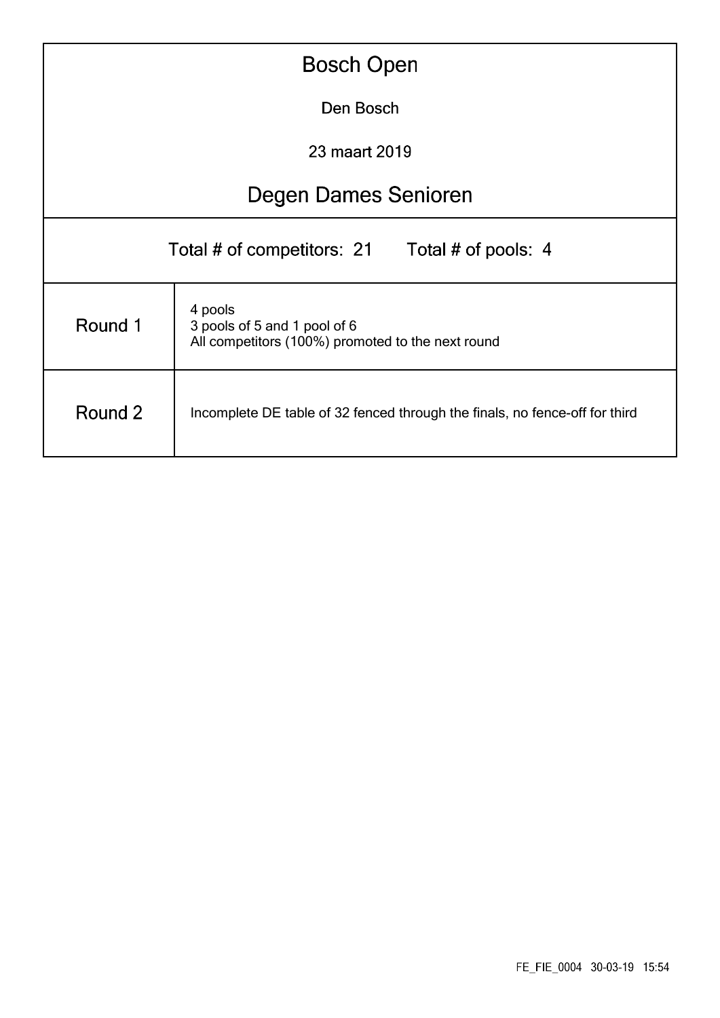|                                                                                                         | <b>Bosch Open</b>                                                           |  |  |  |  |  |  |  |  |  |  |  |
|---------------------------------------------------------------------------------------------------------|-----------------------------------------------------------------------------|--|--|--|--|--|--|--|--|--|--|--|
| Den Bosch                                                                                               |                                                                             |  |  |  |  |  |  |  |  |  |  |  |
| 23 maart 2019                                                                                           |                                                                             |  |  |  |  |  |  |  |  |  |  |  |
|                                                                                                         | <b>Degen Dames Senioren</b>                                                 |  |  |  |  |  |  |  |  |  |  |  |
| Total # of competitors: 21<br>Total # of pools: 4                                                       |                                                                             |  |  |  |  |  |  |  |  |  |  |  |
| 4 pools<br>Round 1<br>3 pools of 5 and 1 pool of 6<br>All competitors (100%) promoted to the next round |                                                                             |  |  |  |  |  |  |  |  |  |  |  |
| Round 2                                                                                                 | Incomplete DE table of 32 fenced through the finals, no fence-off for third |  |  |  |  |  |  |  |  |  |  |  |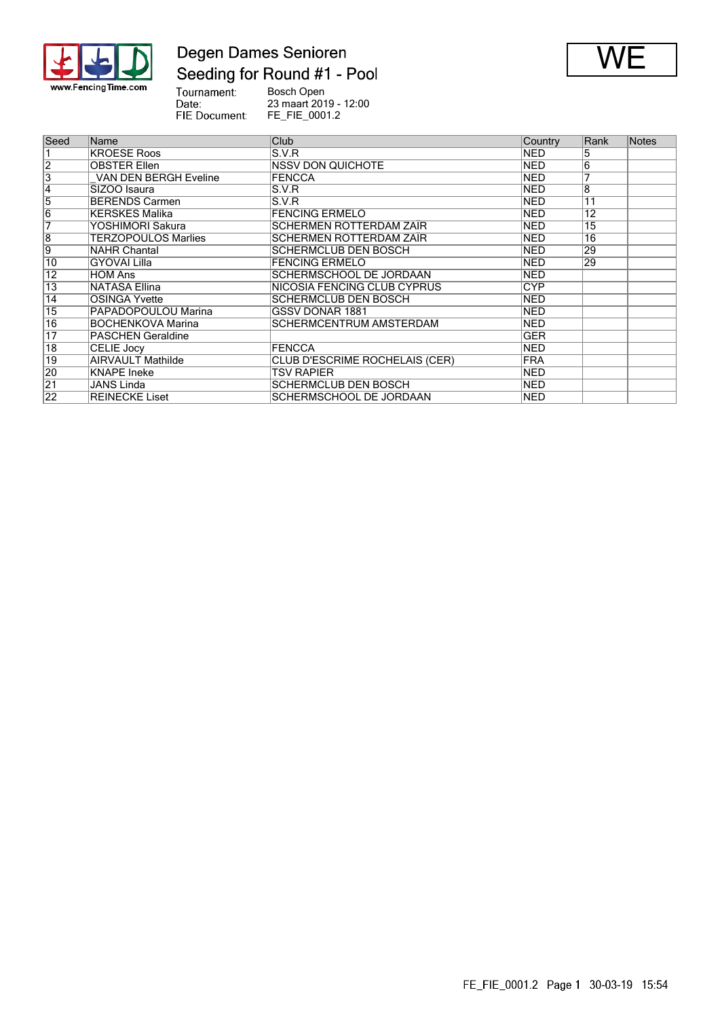

#### Degen Dames Senioren Seeding for Round #1 - Pool



Tournament:<br>Date:<br>FIE Document: Bosch Open 23 maart 2019 - 12:00 FE\_FIE\_0001.2

| Seed            | Name                         | Club                           | Country    | Rank            | <b>Notes</b> |
|-----------------|------------------------------|--------------------------------|------------|-----------------|--------------|
|                 | <b>KROESE Roos</b>           | S.V.R                          | <b>NED</b> | 5               |              |
| $\overline{2}$  | <b>OBSTER Ellen</b>          | <b>NSSV DON QUICHOTE</b>       | <b>NED</b> | 6               |              |
| $\overline{3}$  | <b>VAN DEN BERGH Eveline</b> | <b>FENCCA</b>                  | <b>NED</b> | 7               |              |
| 4               | SIZOO Isaura                 | S.V.R                          | <b>NED</b> | 8               |              |
| 5               | <b>BERENDS Carmen</b>        | S.V.R                          | NED        | 11              |              |
| $\overline{6}$  | <b>KERSKES Malika</b>        | <b>FENCING ERMELO</b>          | <b>NED</b> | 12              |              |
| 7               | YOSHIMORI Sakura             | SCHERMEN ROTTERDAM ZAÏR        | NED        | $\overline{15}$ |              |
| $\overline{8}$  | <b>TERZOPOULOS Marlies</b>   | SCHERMEN ROTTERDAM ZAÏR        | <b>NED</b> | $\overline{16}$ |              |
| 9               | <b>NAHR Chantal</b>          | SCHERMCLUB DEN BOSCH           | <b>NED</b> | 29              |              |
| 10              | <b>GYOVAI Lilla</b>          | <b>FENCING ERMELO</b>          | <b>NED</b> | 29              |              |
| $\overline{12}$ | <b>HOM Ans</b>               | SCHERMSCHOOL DE JORDAAN        | <b>NED</b> |                 |              |
| $\overline{13}$ | <b>NATASA Ellina</b>         | NICOSIA FENCING CLUB CYPRUS    | CYP        |                 |              |
| $\overline{14}$ | <b>OSINGA Yvette</b>         | SCHERMCLUB DEN BOSCH           | NED        |                 |              |
| $\overline{15}$ | PAPADOPOULOU Marina          | <b>GSSV DONAR 1881</b>         | <b>NED</b> |                 |              |
| 16              | <b>BOCHENKOVA Marina</b>     | SCHERMCENTRUM AMSTERDAM        | NED        |                 |              |
| $\overline{17}$ | <b>PASCHEN Geraldine</b>     |                                | GER        |                 |              |
| $\overline{18}$ | <b>CELIE Jocy</b>            | <b>FENCCA</b>                  | <b>NED</b> |                 |              |
| 19              | <b>AIRVAULT Mathilde</b>     | CLUB D'ESCRIME ROCHELAIS (CER) | <b>FRA</b> |                 |              |
| 20              | <b>KNAPE</b> Ineke           | TSV RAPIER                     | <b>NED</b> |                 |              |
| $\overline{21}$ | <b>JANS Linda</b>            | SCHERMCLUB DEN BOSCH           | <b>NED</b> |                 |              |
| 22              | <b>REINECKE Liset</b>        | SCHERMSCHOOL DE JORDAAN        | <b>NED</b> |                 |              |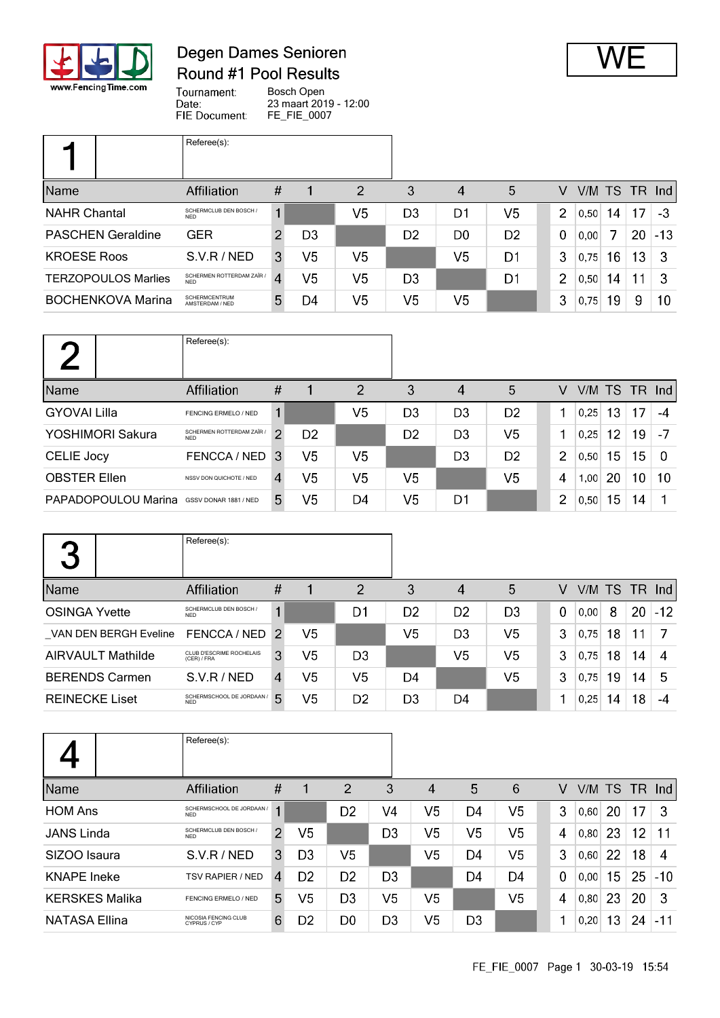

## Degen Dames Senioren Round #1 Pool Results



Tournament: Bosch Open Date: 23 maart 2019 - 12:00 FIE Document: FE\_FIE\_0007

|                            | Referee(s):                             |                        |                |                |    |                |                |                |      |    |           |               |
|----------------------------|-----------------------------------------|------------------------|----------------|----------------|----|----------------|----------------|----------------|------|----|-----------|---------------|
| Name                       | Affiliation                             | #                      |                | 2              | 3  | 4              | 5              | v              |      |    | V/M TS TR | $\lfloor$ lnd |
| <b>NAHR Chantal</b>        | SCHERMCLUB DEN BOSCH /<br><b>NFD</b>    | 1                      |                | V5             | D3 | D1             | V5             | $\overline{2}$ | 0,50 | 14 | 17        | -3            |
| <b>PASCHEN Geraldine</b>   | <b>GER</b>                              |                        | D <sub>3</sub> |                | D2 | D <sub>0</sub> | D <sub>2</sub> | 0              | 0,00 |    | 20        | $-13$         |
| <b>KROESE Roos</b>         | S.V.R / NED                             | 3                      | V <sub>5</sub> | V <sub>5</sub> |    | V5             | D <sub>1</sub> | 3              | 0.75 | 16 | 13        | -3            |
| <b>TERZOPOULOS Marlies</b> | SCHERMEN ROTTERDAM ZAÏR /<br><b>NED</b> | $\boldsymbol{\Lambda}$ | V5             | V5             | D3 |                | D1             | $\overline{2}$ | 0,50 | 14 | 11        | 3             |
| <b>BOCHENKOVA Marina</b>   | <b>SCHERMCENTRUM</b><br>AMSTERDAM / NED | 5                      | D4             | V5             | V5 | V5             |                | 3              | 0,75 | 19 | 9         | 10            |

|                     | Referee(s):                             |                |                |    |                |                |                |   |      |    |               |          |
|---------------------|-----------------------------------------|----------------|----------------|----|----------------|----------------|----------------|---|------|----|---------------|----------|
| Name                | Affiliation                             | #              |                | 2  | 3              | 4              | 5              | V |      |    | V/M TS TR Ind |          |
| <b>GYOVAI Lilla</b> | FENCING ERMELO / NED                    |                |                | V5 | D3             | D3             | D <sub>2</sub> |   | 0.25 | 13 | 17            | -4       |
| YOSHIMORI Sakura    | SCHERMEN ROTTERDAM ZAÏR /<br><b>NFD</b> | ◠              | D <sub>2</sub> |    | D <sub>2</sub> | D <sub>3</sub> | V <sub>5</sub> |   | 0.25 | 12 | 19            | -7       |
| <b>CELIE Jocy</b>   | FENCCA / NED                            | -3             | V5             | V5 |                | D3             | D <sub>2</sub> | 2 | 0.50 | 15 | 15            | $\Omega$ |
| <b>OBSTER Ellen</b> | NSSV DON QUICHOTE / NED                 | $\overline{4}$ | V5             | V5 | V5             |                | V <sub>5</sub> | 4 | 1,00 | 20 | 10            | 10       |
| PAPADOPOULOU Marina | GSSV DONAR 1881 / NED                   | 5.             | V <sub>5</sub> | D4 | V5             | D1             |                | 2 | 0,50 | 15 | 14            |          |

| 2<br>$\overline{\phantom{a}}$ | Referee(s):                             |   |                |                |                |                |                |          |      |    |    |                 |
|-------------------------------|-----------------------------------------|---|----------------|----------------|----------------|----------------|----------------|----------|------|----|----|-----------------|
| <b>Name</b>                   | <b>Affiliation</b>                      | # |                | 2              | 3              | 4              | 5              | V        |      |    |    | $V/M$ TS TR Ind |
| <b>OSINGA Yvette</b>          | SCHERMCLUB DEN BOSCH /<br><b>NFD</b>    | 1 |                | D1             | D <sub>2</sub> | D <sub>2</sub> | D <sub>3</sub> | $\Omega$ | 0.00 | 8  | 20 | $-12$           |
| VAN DEN BERGH Eveline         | FENCCA / NED 2                          |   | V <sub>5</sub> |                | V5             | D <sub>3</sub> | V <sub>5</sub> | 3        | 0,75 | 18 | 11 |                 |
| <b>AIRVAULT Mathilde</b>      | CLUB D'ESCRIME ROCHELAIS<br>(CER) / FRA | 3 | V5             | D <sub>3</sub> |                | V5             | V <sub>5</sub> | 3        | 0,75 | 18 | 14 | 4               |
| <b>BERENDS Carmen</b>         | S.V.R/NED                               | 4 | V5             | V <sub>5</sub> | D4             |                | V <sub>5</sub> | 3        | 0,75 | 19 | 14 | 5               |
| <b>REINECKE Liset</b>         | SCHERMSCHOOL DE JORDAAN /<br><b>NFD</b> | 5 | V5             | D <sub>2</sub> | D <sub>3</sub> | D4             |                | 1        | 0,25 | 14 | 18 | $-4$            |

|                       | Referee(s):                             |      |                |                |                |                |                |                |                |      |    |               |       |
|-----------------------|-----------------------------------------|------|----------------|----------------|----------------|----------------|----------------|----------------|----------------|------|----|---------------|-------|
| Name                  | Affiliation                             | $\#$ |                | 2              | 3              | $\overline{4}$ | 5              | 6              | V              |      |    | V/M TS TR Ind |       |
| <b>HOM Ans</b>        | SCHERMSCHOOL DE JORDAAN /<br><b>NFD</b> |      |                | D <sub>2</sub> | V <sub>4</sub> | V5             | D4             | V <sub>5</sub> | 3              | 0.60 | 20 | 17            | 3     |
| <b>JANS Linda</b>     | SCHERMCLUB DEN BOSCH /<br><b>NED</b>    | 2    | V5             |                | D <sub>3</sub> | V <sub>5</sub> | V <sub>5</sub> | V <sub>5</sub> | 4              | 0.80 | 23 | 12            | 11    |
| SIZOO Isaura          | S.V.R/NED                               | 3    | D <sub>3</sub> | V <sub>5</sub> |                | V5             | D4             | V <sub>5</sub> | 3              | 0,60 | 22 | 18            | 4     |
| <b>KNAPE</b> Ineke    | <b>TSV RAPIER / NED</b>                 | 4    | D <sub>2</sub> | D <sub>2</sub> | D <sub>3</sub> |                | D <sub>4</sub> | D <sub>4</sub> | $\overline{0}$ | 0,00 | 15 | 25            | $-10$ |
| <b>KERSKES Malika</b> | FENCING ERMELO / NED                    | 5    | V5             | D <sub>3</sub> | V <sub>5</sub> | V <sub>5</sub> |                | V <sub>5</sub> | 4              | 0.80 | 23 | 20            | 3     |
| <b>NATASA Ellina</b>  | NICOSIA FENCING CLUB<br>CYPRUS / CYP    | 6    | D <sub>2</sub> | D <sub>0</sub> | D <sub>3</sub> | V5             | D <sub>3</sub> |                |                | 0,20 | 13 | 24            | $-11$ |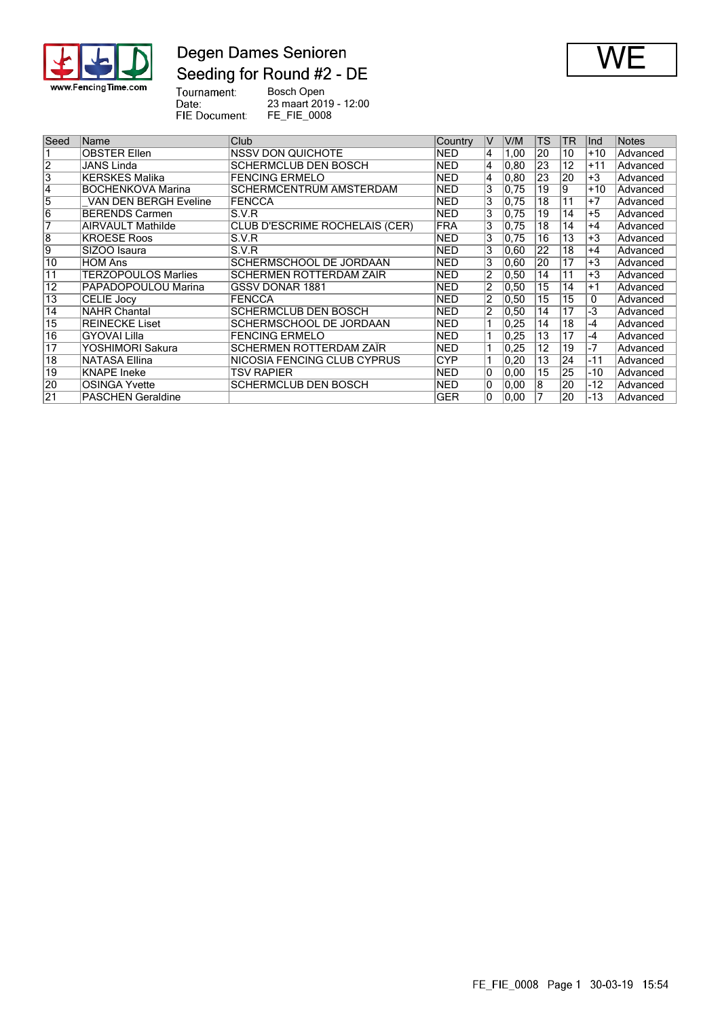

## Degen Dames Senioren Seeding for Round #2 - DE



Tournament:<br>Date:<br>FIE Document: Bosch Open 23 maart 2019 - 12:00 FE\_FIE\_0008

| Seed            | Name                         | Club                           | Country    | V              | V/M            | TS | <b>TR</b>       | llnd  | Notes    |
|-----------------|------------------------------|--------------------------------|------------|----------------|----------------|----|-----------------|-------|----------|
|                 | <b>OBSTER Ellen</b>          | <b>NSSV DON QUICHOTE</b>       | <b>NED</b> | 14             | 1,00           | 20 | 10              | $+10$ | Advanced |
| 2               | JANS Linda                   | SCHERMCLUB DEN BOSCH           | <b>NED</b> | 4              | 0.80           | 23 | 12              | $+11$ | Advanced |
| 3               | <b>KERSKES Malika</b>        | <b>FENCING ERMELO</b>          | <b>NED</b> | 4              | 0, 80          | 23 | 20              | $+3$  | Advanced |
| 14              | <b>BOCHENKOVA Marina</b>     | SCHERMCENTRUM AMSTERDAM        | <b>NED</b> | 3              | 0.75           | 19 | 9               | $+10$ | Advanced |
| 5               | <b>VAN DEN BERGH Eveline</b> | <b>FENCCA</b>                  | <b>NED</b> | 3              | 0.75           | 18 | 11              | $+7$  | Advanced |
| 6               | <b>BERENDS Carmen</b>        | S.V.R                          | <b>NED</b> | 3              | 0.75           | 19 | 14              | $+5$  | Advanced |
|                 | <b>AIRVAULT Mathilde</b>     | CLUB D'ESCRIME ROCHELAIS (CER) | <b>FRA</b> | 3              | 0.75           | 18 | 14              | $+4$  | Advanced |
| 8               | <b>KROESE Roos</b>           | S.V.R                          | <b>NED</b> | 3              | 0.75           | 16 | $\overline{13}$ | $+3$  | Advanced |
| Ι9              | SIZOO Isaura                 | S.V.R                          | <b>NED</b> | 3              | 0.60           | 22 | 18              | $+4$  | Advanced |
| 10              | <b>HOM Ans</b>               | SCHERMSCHOOL DE JORDAAN        | <b>NED</b> | 3              | 0.60           | 20 | 17              | +3    | Advanced |
| 11              | <b>TERZOPOULOS Marlies</b>   | SCHERMEN ROTTERDAM ZAÏR        | <b>NED</b> | $\overline{2}$ | 0,50           | 14 | 11              | $+3$  | Advanced |
| 12              | PAPADOPOULOU Marina          | GSSV DONAR 1881                | <b>NED</b> | 2              | 0,50           | 15 | 14              | $+1$  | Advanced |
| 13              | <b>CELIE Jocy</b>            | <b>FENCCA</b>                  | <b>NED</b> | 2              | 0,50           | 15 | 15              | 0     | Advanced |
| 14              | <b>NAHR Chantal</b>          | SCHERMCLUB DEN BOSCH           | <b>NED</b> | $\overline{2}$ | 0,50           | 14 | 17              | -3    | Advanced |
| 15              | <b>REINECKE Liset</b>        | SCHERMSCHOOL DE JORDAAN        | NED        |                | 0,25           | 14 | 18              | -4    | Advanced |
| $\overline{16}$ | GYOVAI Lilla                 | <b>FENCING ERMELO</b>          | <b>NED</b> |                | 0,25           | 13 | 17              | -4    | Advanced |
| $\overline{17}$ | YOSHIMORI Sakura             | SCHERMEN ROTTERDAM ZAÏR        | <b>NED</b> |                | 0,25           | 12 | 19              | $-7$  | Advanced |
| $\overline{18}$ | <b>NATASA Ellina</b>         | NICOSIA FENCING CLUB CYPRUS    | CYP        |                | $ 0.20\rangle$ | 13 | 24              | -11   | Advanced |
| 19              | <b>KNAPE</b> Ineke           | TSV RAPIER                     | <b>NED</b> | 10             | 0.00           | 15 | 25              | $-10$ | Advanced |
| 20              | <b>OSINGA Yvette</b>         | SCHERMCLUB DEN BOSCH           | <b>NED</b> | 10             | 0.00           | 8  | 20              | -12   | Advanced |
| $\overline{21}$ | <b>PASCHEN Geraldine</b>     |                                | <b>GER</b> | $\overline{0}$ | 0.00           |    | 20              | -13   | Advanced |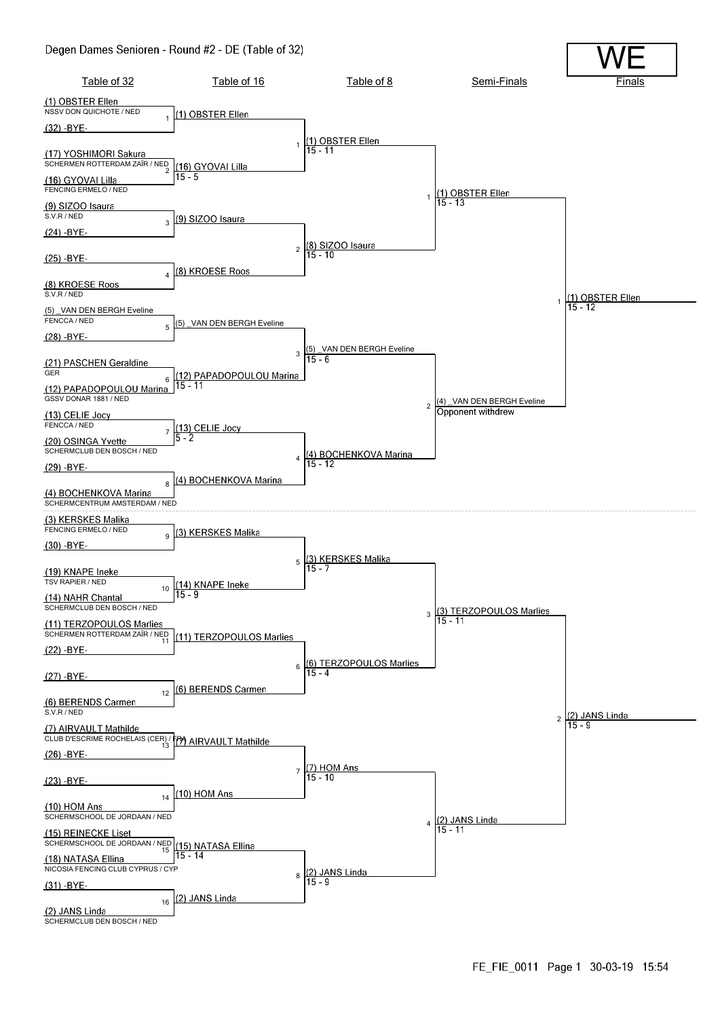#### Degen Dames Senioren - Round #2 - DE (Table of 32)

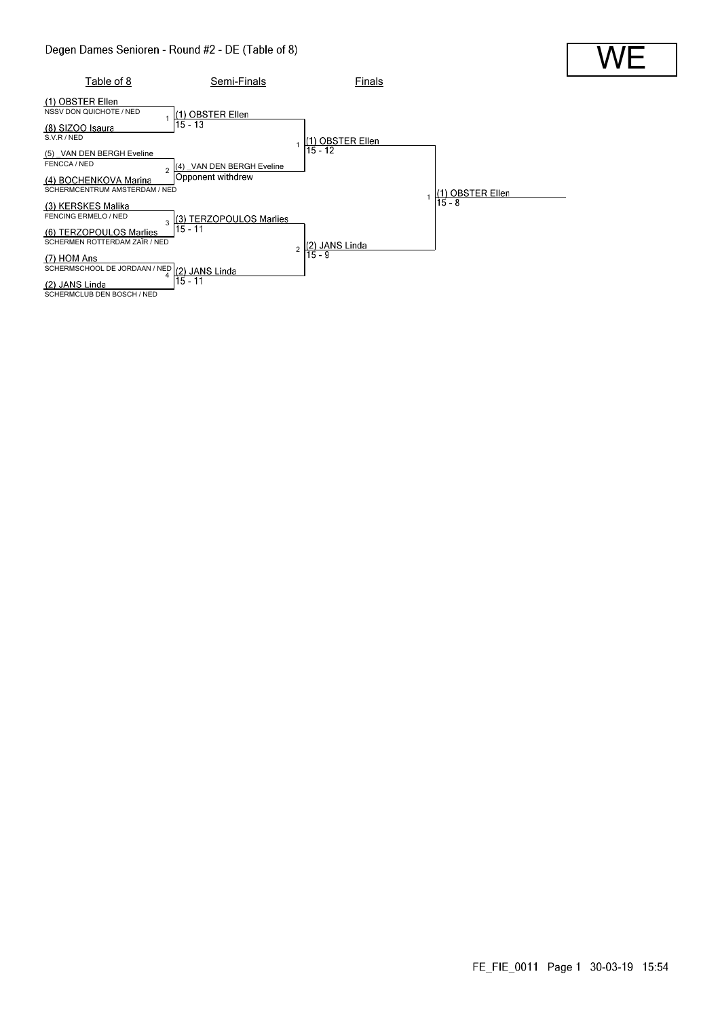

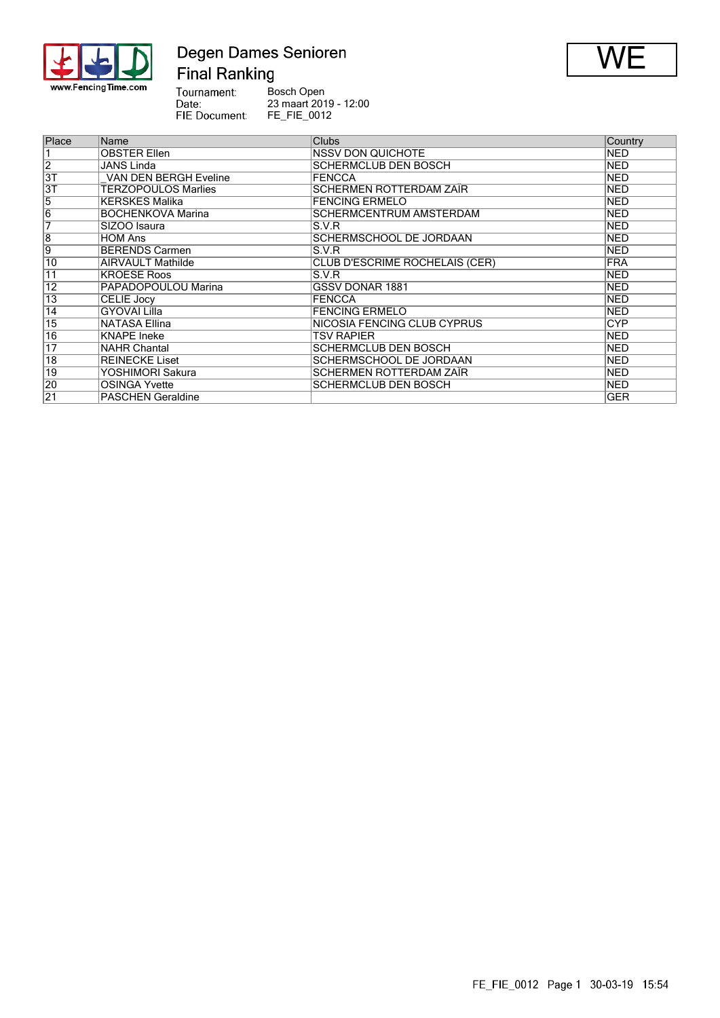

## Degen Dames Senioren **Final Ranking**



Tournament:<br>Date:<br>FIE Document: Bosch Open 23 maart 2019 - 12:00 FE\_FIE\_0012

| Place           | Name                         | <b>Clubs</b>                   | Country    |
|-----------------|------------------------------|--------------------------------|------------|
|                 | <b>OBSTER Ellen</b>          | <b>NSSV DON QUICHOTE</b>       | <b>NED</b> |
| $\overline{2}$  | <b>JANS Linda</b>            | <b>SCHERMCLUB DEN BOSCH</b>    | <b>NED</b> |
| $\overline{3T}$ | <b>VAN DEN BERGH Eveline</b> | <b>FENCCA</b>                  | <b>NED</b> |
| $\overline{3T}$ | <b>TERZOPOULOS Marlies</b>   | <b>SCHERMEN ROTTERDAM ZAÏR</b> | <b>NED</b> |
| $\overline{5}$  | <b>KERSKES Malika</b>        | <b>FENCING ERMELO</b>          | <b>NED</b> |
| $\overline{6}$  | <b>BOCHENKOVA Marina</b>     | SCHERMCENTRUM AMSTERDAM        | <b>NED</b> |
| 7               | SIZOO Isaura                 | S.V.R                          | <b>NED</b> |
| $\overline{8}$  | <b>HOM Ans</b>               | SCHERMSCHOOL DE JORDAAN        | <b>NED</b> |
| 9               | <b>BERENDS Carmen</b>        | S.V.R                          | <b>NED</b> |
| 10              | <b>AIRVAULT Mathilde</b>     | CLUB D'ESCRIME ROCHELAIS (CER) | <b>FRA</b> |
| 11              | <b>KROESE Roos</b>           | S.V.R                          | <b>NED</b> |
| 12              | PAPADOPOULOU Marina          | <b>GSSV DONAR 1881</b>         | <b>NED</b> |
| 13              | <b>CELIE Jocy</b>            | <b>FENCCA</b>                  | <b>NED</b> |
| $\overline{14}$ | <b>GYOVAI Lilla</b>          | <b>FENCING ERMELO</b>          | <b>NED</b> |
| $\overline{15}$ | <b>NATASA Ellina</b>         | NICOSIA FENCING CLUB CYPRUS    | <b>CYP</b> |
| $\overline{16}$ | <b>KNAPE</b> Ineke           | TSV RAPIER                     | NED        |
| $\overline{17}$ | <b>NAHR Chantal</b>          | <b>SCHERMCLUB DEN BOSCH</b>    | <b>NED</b> |
| $\overline{18}$ | <b>REINECKE Liset</b>        | SCHERMSCHOOL DE JORDAAN        | <b>NED</b> |
| 19              | YOSHIMORI Sakura             | SCHERMEN ROTTERDAM ZAÏR        | <b>NED</b> |
| 20              | <b>OSINGA Yvette</b>         | <b>SCHERMCLUB DEN BOSCH</b>    | <b>NED</b> |
| $\overline{21}$ | <b>PASCHEN Geraldine</b>     |                                | <b>GER</b> |